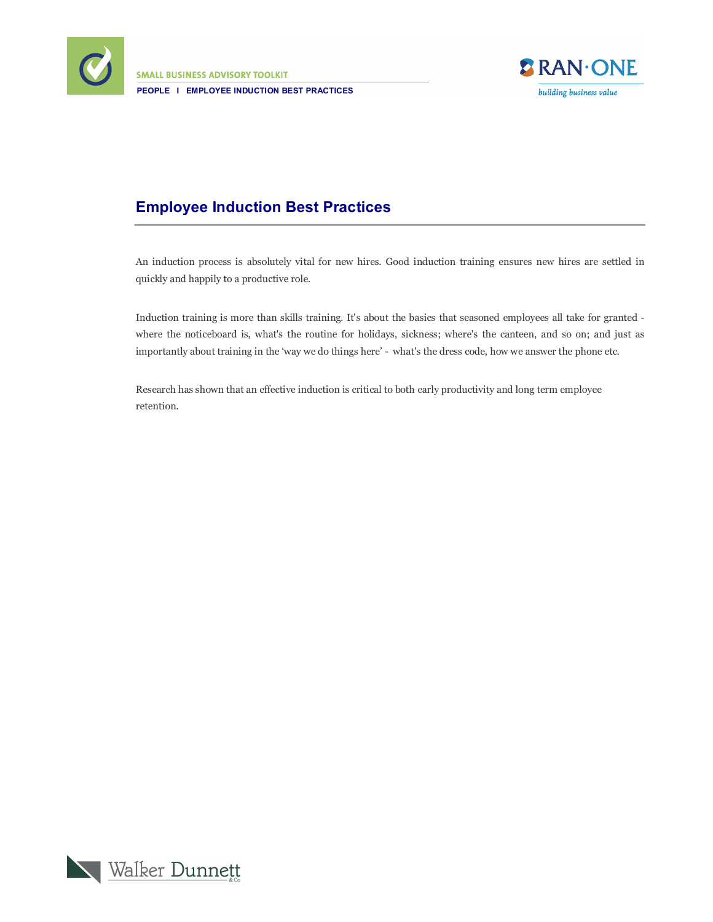

**SMALL BUSINESS ADVISORY TOOLKIT PEOPLE I EMPLOYEE INDUCTION BEST PRACTICES**



## **Employee Induction Best Practices**

An induction process is absolutely vital for new hires. Good induction training ensures new hires are settled in quickly and happily to a productive role.

Induction training is more than skills training. It's about the basics that seasoned employees all take for granted where the noticeboard is, what's the routine for holidays, sickness; where's the canteen, and so on; and just as importantly about training in the 'way we do things here' - what's the dress code, how we answer the phone etc.

Research has shown that an effective induction is critical to both early productivity and long term employee retention.

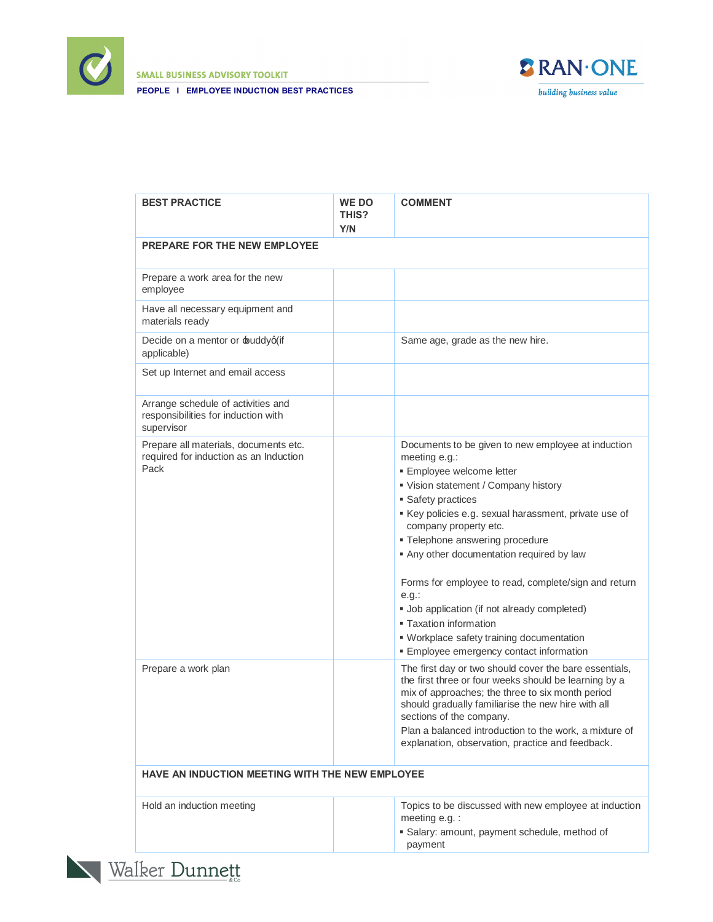

**SMALL BUSINESS ADVISORY TOOLKIT** 





| <b>BEST PRACTICE</b>                                                                    | <b>WE DO</b><br><b>THIS?</b><br>Y/N | <b>COMMENT</b>                                                                                                                                                                                                                                                                                                                                                                                                                                                                                                                                                             |
|-----------------------------------------------------------------------------------------|-------------------------------------|----------------------------------------------------------------------------------------------------------------------------------------------------------------------------------------------------------------------------------------------------------------------------------------------------------------------------------------------------------------------------------------------------------------------------------------------------------------------------------------------------------------------------------------------------------------------------|
| <b>PREPARE FOR THE NEW EMPLOYEE</b>                                                     |                                     |                                                                                                                                                                                                                                                                                                                                                                                                                                                                                                                                                                            |
| Prepare a work area for the new<br>employee                                             |                                     |                                                                                                                                                                                                                                                                                                                                                                                                                                                                                                                                                                            |
| Have all necessary equipment and<br>materials ready                                     |                                     |                                                                                                                                                                                                                                                                                                                                                                                                                                                                                                                                                                            |
| Decide on a mentor or buddyq(if<br>applicable)                                          |                                     | Same age, grade as the new hire.                                                                                                                                                                                                                                                                                                                                                                                                                                                                                                                                           |
| Set up Internet and email access                                                        |                                     |                                                                                                                                                                                                                                                                                                                                                                                                                                                                                                                                                                            |
| Arrange schedule of activities and<br>responsibilities for induction with<br>supervisor |                                     |                                                                                                                                                                                                                                                                                                                                                                                                                                                                                                                                                                            |
| Prepare all materials, documents etc.<br>required for induction as an Induction<br>Pack |                                     | Documents to be given to new employee at induction<br>meeting e.g.:<br>· Employee welcome letter<br>Vision statement / Company history<br>• Safety practices<br>Key policies e.g. sexual harassment, private use of<br>company property etc.<br>· Telephone answering procedure<br>Any other documentation required by law<br>Forms for employee to read, complete/sign and return<br>$e.g.$ :<br>· Job application (if not already completed)<br><b>Exation information</b><br>· Workplace safety training documentation<br><b>Employee emergency contact information</b> |
| Prepare a work plan                                                                     |                                     | The first day or two should cover the bare essentials,<br>the first three or four weeks should be learning by a<br>mix of approaches; the three to six month period<br>should gradually familiarise the new hire with all<br>sections of the company.<br>Plan a balanced introduction to the work, a mixture of<br>explanation, observation, practice and feedback.                                                                                                                                                                                                        |
| HAVE AN INDUCTION MEETING WITH THE NEW EMPLOYEE                                         |                                     |                                                                                                                                                                                                                                                                                                                                                                                                                                                                                                                                                                            |
| Hold an induction meeting                                                               |                                     | Topics to be discussed with new employee at induction<br>meeting e.g. :                                                                                                                                                                                                                                                                                                                                                                                                                                                                                                    |

ß Salary: amount, payment schedule, method of

payment